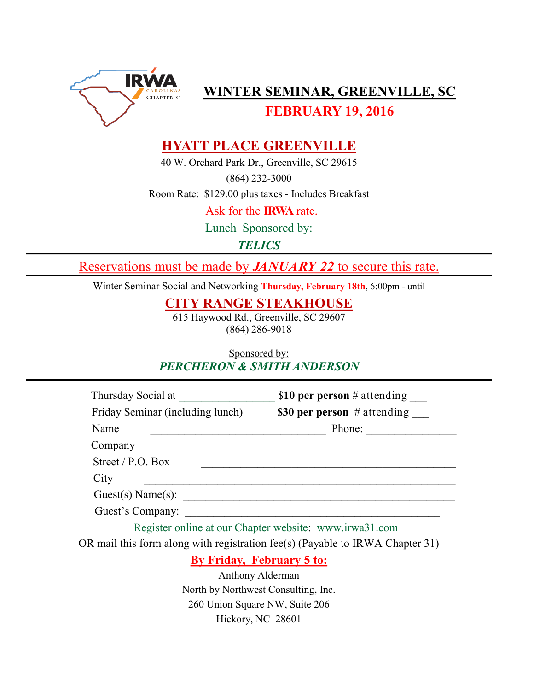

**WINTER SEMINAR, GREENVILLE, SC** 

**FEBRUARY 19, 2016** 

## **HYATT PLACE GREENVILLE**

40 W. Orchard Park Dr., Greenville, SC 29615

(864) 232-3000

Room Rate: \$129.00 plus taxes - Includes Breakfast

Ask for the **IRWA** rate.

Lunch Sponsored by:

*TELICS*

Reservations must be made by *JANUARY 22* to secure this rate.

Winter Seminar Social and Networking **Thursday, February 18th**, 6:00pm - until

**CITY RANGE STEAKHOUSE**

615 Haywood Rd., Greenville, SC 29607 (864) 286-9018

Sponsored by: *PERCHERON & SMITH ANDERSON*

| \$10 per person # attending   |
|-------------------------------|
| \$30 per person $#$ attending |
| Phone:                        |
|                               |
|                               |
|                               |
|                               |
|                               |
|                               |

Register online at our Chapter website: www.irwa31.com

OR mail this form along with registration fee(s) (Payable to IRWA Chapter 31)

## **By Friday, February 5 to:**

Anthony Alderman North by Northwest Consulting, Inc. 260 Union Square NW, Suite 206 Hickory, NC 28601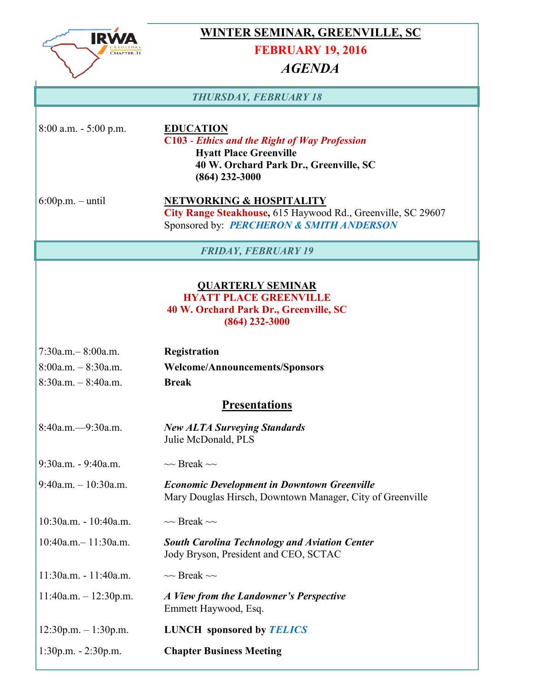

## **WINTER SEMINAR, GREENVILLE, SC**

### **FEBRUARY 19, 2016**

## *AGENDA*

#### *THURSDAY, FEBRUARY 18*

8:00 a.m. - 5:00 p.m. **EDUCATION**

**C103** - *Ethics and the Right of Way Profession* **Hyatt Place Greenville 40 W. Orchard Park Dr., Greenville, SC (864) 232-3000**

6:00p.m. – until **NETWORKING & HOSPITALITY City Range Steakhouse,** 615 Haywood Rd., Greenville, SC 29607 Sponsored by: *PERCHERON & SMITH ANDERSON*

*FRIDAY, FEBRUARY 19*

#### **QUARTERLY SEMINAR HYATT PLACE GREENVILLE**

### **40 W. Orchard Park Dr., Greenville, SC (864) 232-3000**

| $7:30$ a.m. $-8:00$ a.m. | <b>Registration</b>            |
|--------------------------|--------------------------------|
| $8:00a.m. - 8:30a.m.$    | Welcome/Announcements/Sponsors |
| $8:30a.m. - 8:40a.m.$    | <b>Break</b>                   |

## **Presentations**

| $8:40a.m. -9:30a.m.$      | <b>New ALTA Surveying Standards</b><br>Julie McDonald, PLS                                                      |
|---------------------------|-----------------------------------------------------------------------------------------------------------------|
| $9:30a.m. - 9:40a.m.$     | $\sim$ Break $\sim$                                                                                             |
| $9:40$ a.m. $-10:30$ a.m. | <b>Economic Development in Downtown Greenville</b><br>Mary Douglas Hirsch, Downtown Manager, City of Greenville |
| $10:30a.m. - 10:40a.m.$   | $\sim$ Break $\sim$                                                                                             |
| $10:40a.m. - 11:30a.m.$   | <b>South Carolina Technology and Aviation Center</b><br>Jody Bryson, President and CEO, SCTAC                   |
| $11:30a.m. - 11:40a.m.$   | $\sim$ Break $\sim$                                                                                             |
| $11:40a.m. - 12:30p.m.$   | A View from the Landowner's Perspective<br>Emmett Haywood, Esq.                                                 |
| $12:30p.m. - 1:30p.m.$    | <b>LUNCH</b> sponsored by <b>TELICS</b>                                                                         |
| $1:30p.m. - 2:30p.m.$     | <b>Chapter Business Meeting</b>                                                                                 |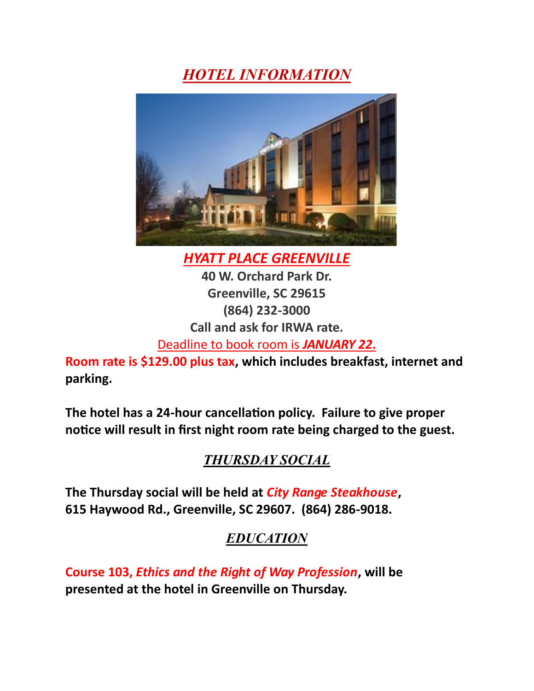# *HOTEL INFORMATION*



*HYATT PLACE GREENVILLE* **40 W. Orchard Park Dr.**

**Greenville, SC 29615 (864) 232-3000 Call and ask for IRWA rate.**

Deadline to book room is *JANUARY 22***.**

**Room rate is \$129.00 plus tax, which includes breakfast, internet and parking.**

**The hotel has a 24-hour cancellation policy. Failure to give proper notice will result in first night room rate being charged to the guest.** 

## *THURSDAY SOCIAL*

**The Thursday social will be held at** *City Range Steakhouse***, 615 Haywood Rd., Greenville, SC 29607. (864) 286-9018.** 

## *EDUCATION*

**Course 103,** *Ethics and the Right of Way Profession***, will be presented at the hotel in Greenville on Thursday.**